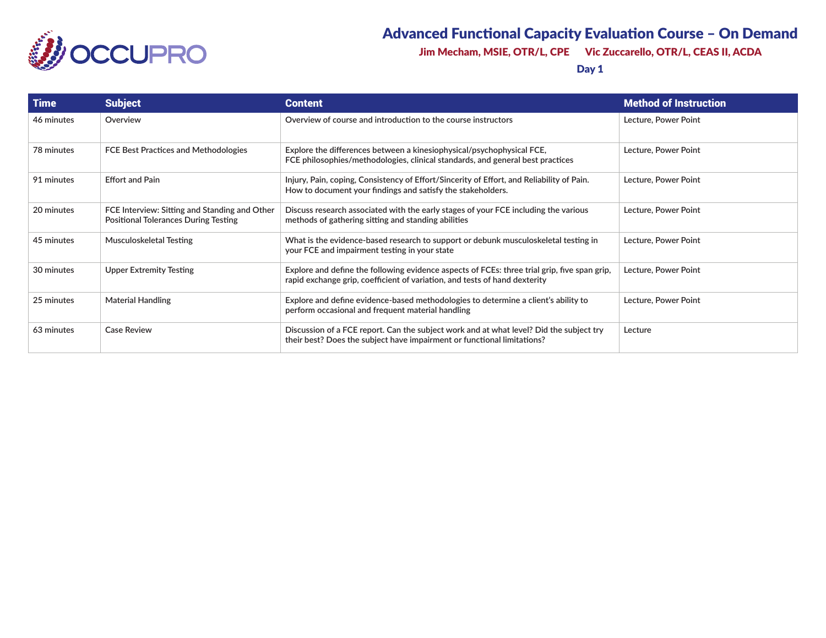

## Advanced Functional Capacity Evaluation Course – On Demand

Jim Mecham, MSIE, OTR/L, CPE Vic Zuccarello, OTR/L, CEAS II, ACDA

Day 1

| <b>Time</b> | <b>Subject</b>                                                                               | <b>Content</b>                                                                                                                                                             | <b>Method of Instruction</b> |
|-------------|----------------------------------------------------------------------------------------------|----------------------------------------------------------------------------------------------------------------------------------------------------------------------------|------------------------------|
| 46 minutes  | Overview                                                                                     | Overview of course and introduction to the course instructors                                                                                                              | Lecture, Power Point         |
| 78 minutes  | <b>FCE Best Practices and Methodologies</b>                                                  | Explore the differences between a kinesiophysical/psychophysical FCE,<br>FCE philosophies/methodologies, clinical standards, and general best practices                    | Lecture, Power Point         |
| 91 minutes  | <b>Effort and Pain</b>                                                                       | Injury, Pain, coping, Consistency of Effort/Sincerity of Effort, and Reliability of Pain.<br>How to document your findings and satisfy the stakeholders.                   | Lecture, Power Point         |
| 20 minutes  | FCE Interview: Sitting and Standing and Other<br><b>Positional Tolerances During Testing</b> | Discuss research associated with the early stages of your FCE including the various<br>methods of gathering sitting and standing abilities                                 | Lecture, Power Point         |
| 45 minutes  | Musculoskeletal Testing                                                                      | What is the evidence-based research to support or debunk musculoskeletal testing in<br>your FCE and impairment testing in your state                                       | Lecture, Power Point         |
| 30 minutes  | <b>Upper Extremity Testing</b>                                                               | Explore and define the following evidence aspects of FCEs: three trial grip, five span grip,<br>rapid exchange grip, coefficient of variation, and tests of hand dexterity | Lecture, Power Point         |
| 25 minutes  | <b>Material Handling</b>                                                                     | Explore and define evidence-based methodologies to determine a client's ability to<br>perform occasional and frequent material handling                                    | Lecture, Power Point         |
| 63 minutes  | <b>Case Review</b>                                                                           | Discussion of a FCE report. Can the subject work and at what level? Did the subject try<br>their best? Does the subject have impairment or functional limitations?         | Lecture                      |